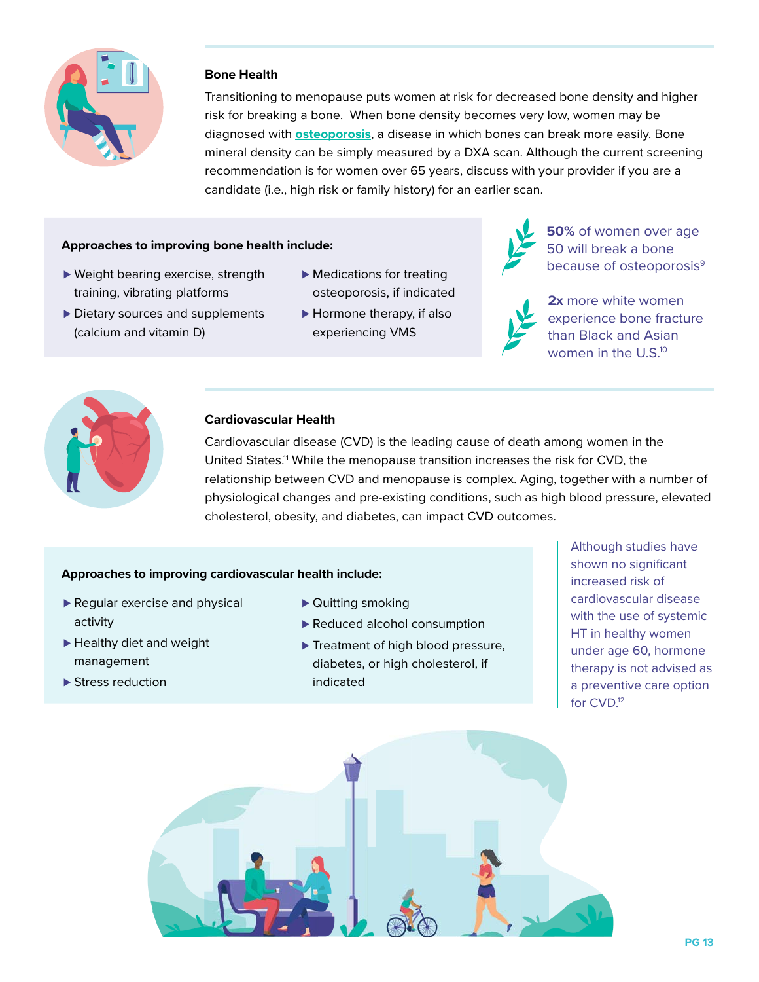

## **Bone Health**

Transitioning to menopause puts women at risk for decreased bone density and higher risk for breaking a bone. When bone density becomes very low, women may be diagnosed with **osteoporosis**, a disease in which bones can break more easily. Bone mineral density can be simply measured by a DXA scan. Although the current screening recommendation is for women over 65 years, discuss with your provider if you are a candidate (i.e., high risk or family history) for an earlier scan.

#### **Approaches to improving bone health include:**

- ► Weight bearing exercise, strength training, vibrating platforms
- ► Medications for treating osteoporosis, if indicated
- ► Dietary sources and supplements (calcium and vitamin D)
- ► Hormone therapy, if also experiencing VMS



**50%** of women over age 50 will break a bone because of osteoporosis<sup>9</sup>



**2x** more white women experience bone fracture than Black and Asian women in the U.S.<sup>10</sup>



#### **Cardiovascular Health**

Cardiovascular disease (CVD) is the leading cause of death among women in the United States.11 While the menopause transition increases the risk for CVD, the relationship between CVD and menopause is complex. Aging, together with a number of physiological changes and pre-existing conditions, such as high blood pressure, elevated cholesterol, obesity, and diabetes, can impact CVD outcomes.

#### **Approaches to improving cardiovascular health include:**

- ► Regular exercise and physical activity
- ► Healthy diet and weight management
- ► Stress reduction
- ► Quitting smoking
- ▶ Reduced alcohol consumption
- ► Treatment of high blood pressure, diabetes, or high cholesterol, if indicated

Although studies have shown no significant increased risk of cardiovascular disease with the use of systemic HT in healthy women under age 60, hormone therapy is not advised as a preventive care option for CVD.12

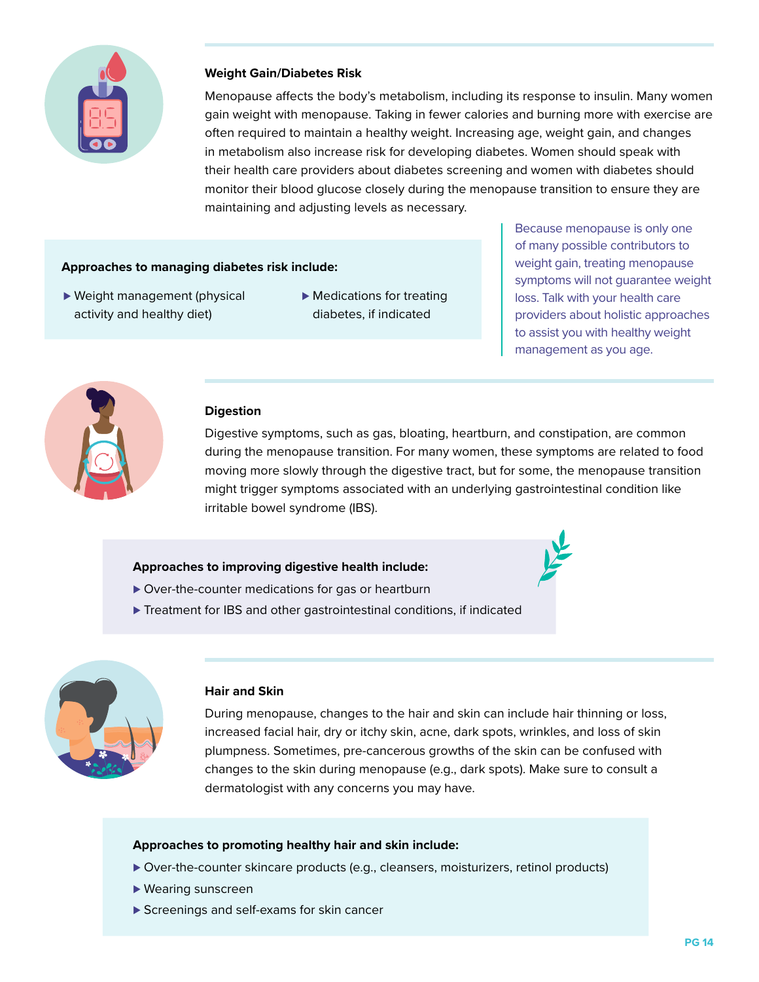

### **Weight Gain/Diabetes Risk**

Menopause affects the body's metabolism, including its response to insulin. Many women gain weight with menopause. Taking in fewer calories and burning more with exercise are often required to maintain a healthy weight. Increasing age, weight gain, and changes in metabolism also increase risk for developing diabetes. Women should speak with their health care providers about diabetes screening and women with diabetes should monitor their blood glucose closely during the menopause transition to ensure they are maintaining and adjusting levels as necessary.

### **Approaches to managing diabetes risk include:**

- ► Weight management (physical activity and healthy diet)
- ► Medications for treating diabetes, if indicated

Because menopause is only one of many possible contributors to weight gain, treating menopause symptoms will not guarantee weight loss. Talk with your health care providers about holistic approaches to assist you with healthy weight management as you age.



# **Digestion**

Digestive symptoms, such as gas, bloating, heartburn, and constipation, are common during the menopause transition. For many women, these symptoms are related to food moving more slowly through the digestive tract, but for some, the menopause transition might trigger symptoms associated with an underlying gastrointestinal condition like irritable bowel syndrome (IBS).

### **Approaches to improving digestive health include:**

- ▶ Over-the-counter medications for gas or heartburn
- ► Treatment for IBS and other gastrointestinal conditions, if indicated



### **Hair and Skin**

During menopause, changes to the hair and skin can include hair thinning or loss, increased facial hair, dry or itchy skin, acne, dark spots, wrinkles, and loss of skin plumpness. Sometimes, pre-cancerous growths of the skin can be confused with changes to the skin during menopause (e.g., dark spots). Make sure to consult a dermatologist with any concerns you may have.

### **Approaches to promoting healthy hair and skin include:**

- ⊲ Over-the-counter skincare products (e.g., cleansers, moisturizers, retinol products)
- ► Wearing sunscreen
- ► Screenings and self-exams for skin cancer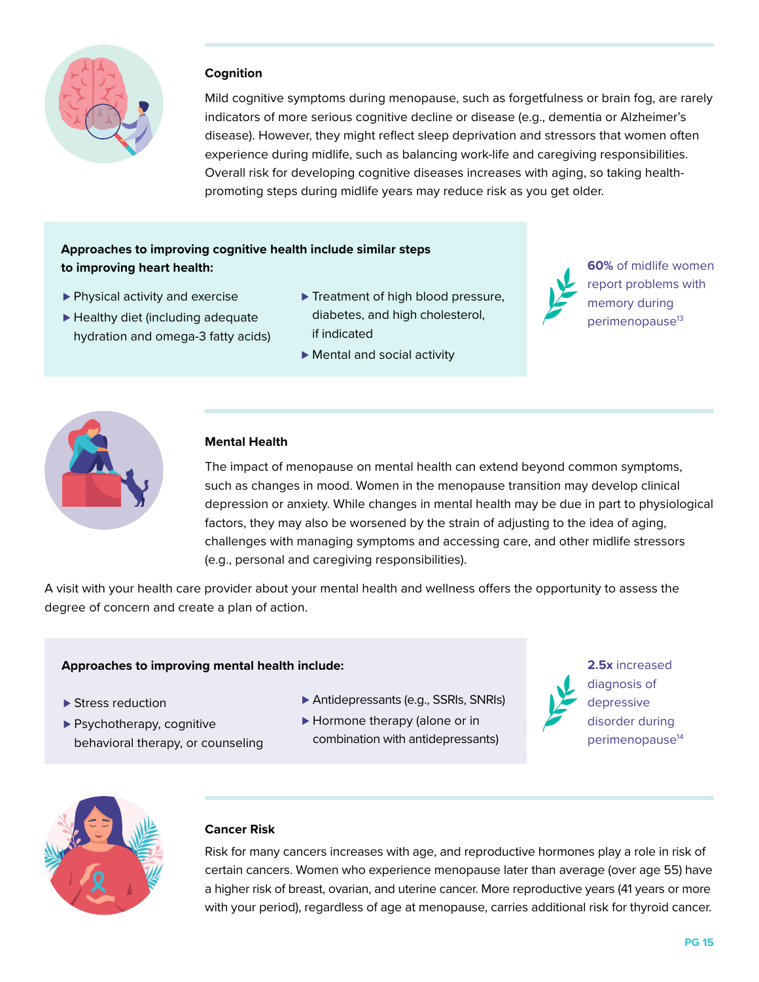

### **Cognition**

Mild cognitive symptoms during menopause, such as forgetfulness or brain fog, are rarely indicators of more serious cognitive decline or disease (e.g., dementia or Alzheimer's disease). However, they might reflect sleep deprivation and stressors that women often experience during midlife, such as balancing work-life and caregiving responsibilities. Overall risk for developing cognitive diseases increases with aging, so taking healthpromoting steps during midlife years may reduce risk as you get older.

# **Approaches to improving cognitive health include similar steps to improving heart health:**

- ▶ Physical activity and exercise
- ► Healthy diet (including adequate hydration and omega-3 fatty acids)
- ► Treatment of high blood pressure, diabetes, and high cholesterol, if indicated
- ▶ Mental and social activity



**60%** of midlife women report problems with memory during perimenopause<sup>13</sup>



## **Mental Health**

The impact of menopause on mental health can extend beyond common symptoms, such as changes in mood. Women in the menopause transition may develop clinical depression or anxiety. While changes in mental health may be due in part to physiological factors, they may also be worsened by the strain of adjusting to the idea of aging, challenges with managing symptoms and accessing care, and other midlife stressors (e.g., personal and caregiving responsibilities).

A visit with your health care provider about your mental health and wellness offers the opportunity to assess the degree of concern and create a plan of action.

### **Approaches to improving mental health include:**

- ► Stress reduction
- ▶ Psychotherapy, cognitive behavioral therapy, or counseling
- ⊲ Antidepressants (e.g., SSRIs, SNRIs)
- ► Hormone therapy (alone or in
- combination with antidepressants)
- **2.5x** increased diagnosis of depressive disorder during perimenopause<sup>14</sup>



### **Cancer Risk**

Risk for many cancers increases with age, and reproductive hormones play a role in risk of certain cancers. Women who experience menopause later than average (over age 55) have a higher risk of breast, ovarian, and uterine cancer. More reproductive years (41 years or more with your period), regardless of age at menopause, carries additional risk for thyroid cancer.